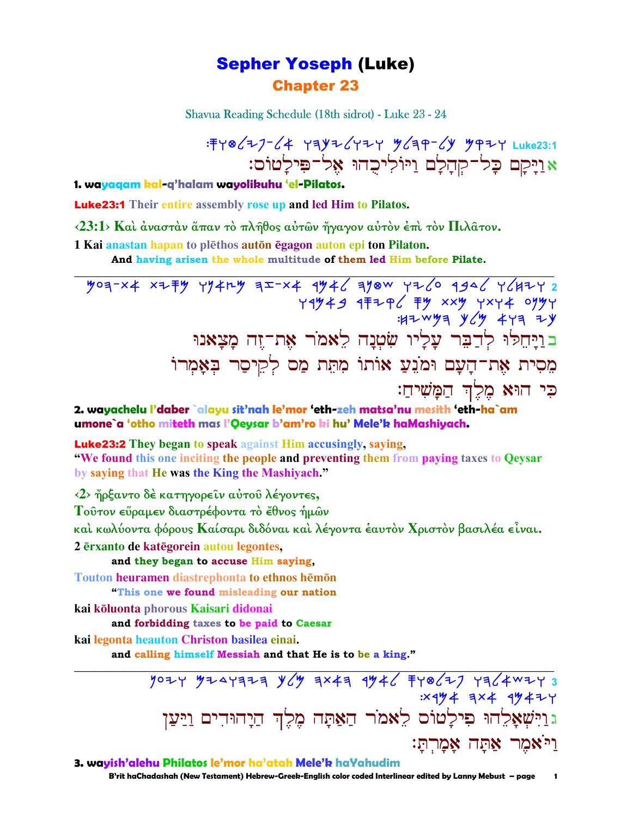# **Sepher Yoseph (Luke) Chapter 23**

Shavua Reading Schedule (18th sidrot) - Luke 23 - 24

: FY @ ( Z ) - ( 4 Y = Y = Y + Z Y = Y ( = - ( Y + Y + Z y + Luke 23: 1 אַוַיְקָם כָּל־קְחָלָם וַיּוֹלִיכָהוּ אֵל־פִּילַטוֹס:

1. wayagam kal-g'halam wayolikuhu 'el-Pilatos.

**Luke23:1** Their entire assembly rose up and led Him to Pilatos.

 $\langle 23:1 \rangle$  Και άνασταν άπαν το πλήθος αύτων ήγαγον αύτον έπι τον Πιλάτον.

1 Kai anastan hapan to plethos auton egagon auton epi ton Pilaton.

And having arisen the whole multitude of them led Him before Pilate.

 $\frac{16}{10}$   $\frac{12}{10}$   $\frac{12}{10}$   $\frac{12}{10}$   $\frac{12}{10}$   $\frac{12}{10}$   $\frac{12}{10}$   $\frac{12}{10}$   $\frac{12}{10}$   $\frac{12}{10}$   $\frac{12}{10}$   $\frac{12}{10}$   $\frac{12}{10}$   $\frac{12}{10}$   $\frac{12}{10}$   $\frac{12}{10}$   $\frac{12}{10}$   $\frac{12}{10}$   $\frac{1$  $H^+$   $H^ H^+$   $H^ H^+$   $H^ H^+$   $H^ H^+$   $H^ H^+$ בויחלו לדבר עליו שטנה לאמר את־זה מצאנו מִסִית אֶת־הַעָם וּמֹנֵעַ אוֹתוֹ מִתְּת מַם לְקֵיסַר בִאֲמִרוֹ כי הוּא מֵלֵךְ הַמָּשִׁיהַ:

2. wayachelu l'daber `alayu sit'nah le'mor 'eth-zeh matsa'nu mesith 'eth-ha`am umone`a 'otho miteth mas l'Oeysar b'am'ro ki hu' Mele'k haMashiyach.

**Luke23:2** They began to speak against Him accusingly, saying,

"We found this one inciting the people and preventing them from paying taxes to Oeysar by saying that He was the King the Mashiyach."

 $\langle 2 \rangle$  ήρξαντο δέ κατηγορείν αύτου λέγοντες,

Τούτον εύραμεν διαστρέφοντα τὸ ἔθνος ἡμῶν

καὶ κωλύοντα φόρους Καίσαρι διδόναι καὶ λέγοντα ἑαυτὸν Χριστὸν βασιλέα εἶναι.

2 erxanto de kategorein autou legontes,

and they began to accuse Him saying,

Touton heuramen diastrephonta to ethnos hemon "This one we found misleading our nation

kai koluonta phorous Kaisari didonai

and forbidding taxes to be paid to Caesar

kai legonta heauton Christon basilea einai.

and calling himself Messiah and that He is to be a king."

 $7077$   $7747777$   $967$   $9747$   $1946$   $19467$   $1964$   $1966$ : X 4 4 4 4 4 4 4 4 2 4 גוַיִּשְׁאָלֶהוּ פִילָטוֹס לֵאמֹר הַאַתָּה מֵלֵךְ הַיָהוּדִים וַיַּעֲן וי<sup>:</sup>אמר אתה אמרת:

3. wavish'alehu Philatos le'mor ha'atah Mele'k haYahudim

B'rit haChadashah (New Testament) Hebrew-Greek-English color coded Interlinear edited by Lanny Mebust - page  $\blacksquare$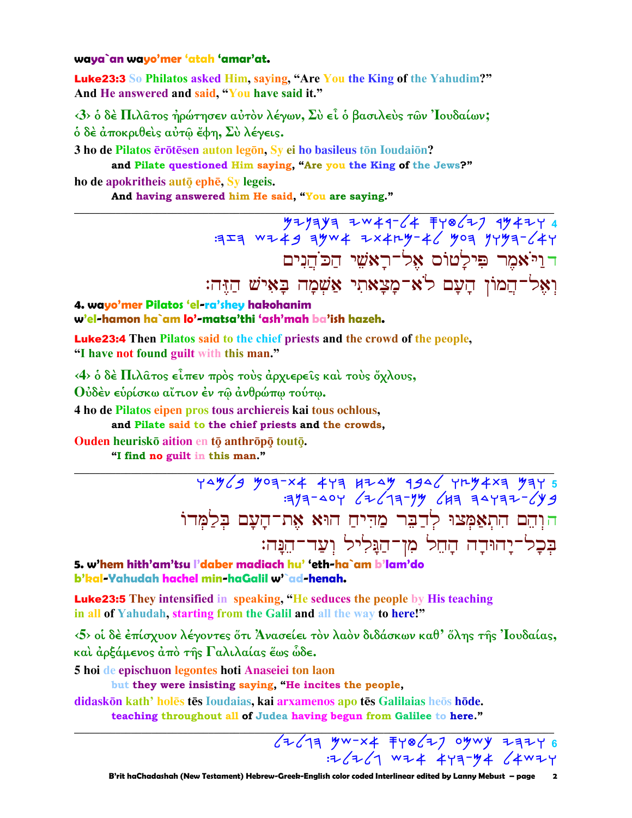### waya`an wayo'mer 'atah 'amar'at.

**Luke23:3** So Philatos asked Him, saying, "Are You the King of the Yahudim?" And He answered and said, "You have said it."

<3> ο δέ Πιλατος ήρώτησεν αύτον λέγων, Σύ εί ο βασιλεύς των 'Ιουδαίων; ό δέ άποκριθείς αύτω έφη, Σύ λέγεις.

3 ho de Pilatos erotesen auton legon. Sy ei ho basileus ton Ioudaion? and Pilate questioned Him saying, "Are you the King of the Jews?"

ho de apokritheis autō ephē, Sv legeis.

And having answered him He said, "You are saying."

דויאמר פילטוס אל־ראשי הכהנים וְאֵל־הֲמוֹן הַעַם לֹא־מַצָאתִי אַשִׁמַה בַּאִישׁ הַזֶּה:

4. wayo'mer Pilatos 'el-ra'shey hakohanim w'el-hamon ha`am lo'-matsa'thi 'ash'mah ba'ish hazeh.

Luke23:4 Then Pilatos said to the chief priests and the crowd of the people, "I have not found guilt with this man."

 $(4)$  ο δέ Πιλατος είπεν προς τους αρχιερείς και τους όχλους,

Ούδέν ευρίσκω αΐτιον έν τω ανθρώπω τούτω.

4 ho de Pilatos eipen pros tous archiereis kai tous ochlous, and Pilate said to the chief priests and the crowds,

Ouden heuriskō aition en tō anthrōpō toutō.

"I find no guilt in this man."

הּוְהֵם הִתְאַמְּצוּ לְדַבֵּר מַהִיחַ הוּא אֶת־הָעָם בִלַמִּדוֹ בִּכְל־יַהוּדֵה הַחֵל מִן־הַגַּלִיל וְעַד־הֵנַּה:

5. w'hem hith'am'tsu l'daber madiach hu' 'eth-ha`am b'lam'do b'kal-Yahudah hachel min-haGalil w'`ad-henah.

**Luke23:5** They intensified in speaking, "He seduces the people by His teaching in all of Yahudah, starting from the Galil and all the way to here!"

 $\langle 5 \rangle$  οι δέ έπίσχυον λέγοντες ότι Άνασείει τον λαον διδάσκων καθ' όλης της Ιουδαίας, καὶ ἀρξάμενος ἀπὸ τῆς Γαλιλαίας ἔως ὧδε.

5 hoi de epischuon legontes hoti Anaseiei ton laon

but they were insisting saying, "He incites the people,

didaskon kath' holes tes Ioudaias, kai arxamenos apo tes Galilaias heos hode. teaching throughout all of Judea having begun from Galilee to here."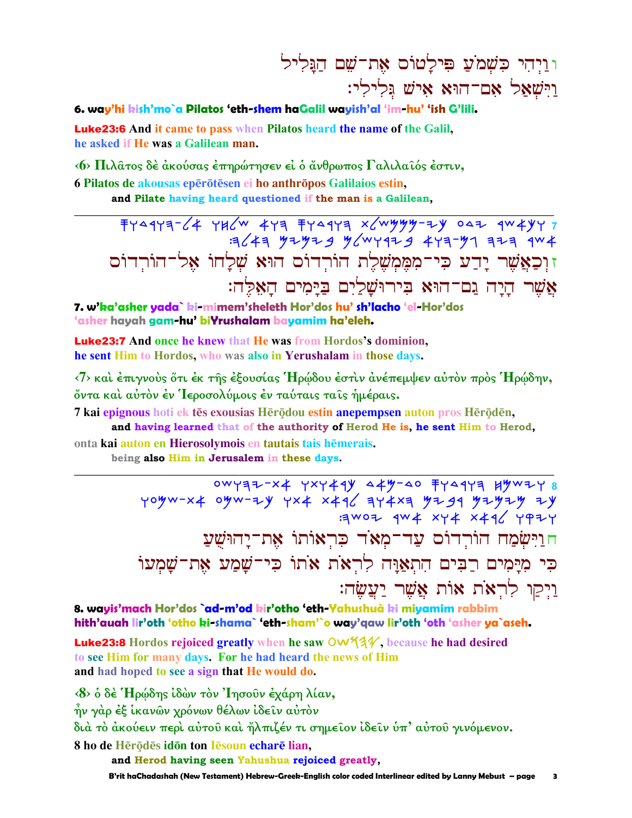וויהי כשמע פילטוס את־שם הגליל וישאל אם־הוּא איש גלילי:

### 6. way'hi kish'mo`a Pilatos 'eth-shem haGalil wayish'al 'im-hu' 'ish G'lili.

**Luke23:6** And it came to pass when Pilatos heard the name of the Galil, he asked if He was a Galilean man.

(6) Πιλάτος δέ άκούσας έπηρώτησεν εί ο άνθρωπος Γαλιλαΐός έστιν, 6 Pilatos de akousas eperõtesen ei ho anthropos Galilaios estin,

and Pilate having heard questioned if the man is a Galilean,

 $FY^{\alpha}$  177-64 786 479  $FY^{\alpha}$  179  $X^{\alpha}$  779 7  $444$   $444$   $444$   $46$   $474$   $474$   $474$   $401$   $414$   $404$ זוְכַאֲשֶׁר יָדֵע כִּי־מְמֵמְשָׁלֵת הוֹרְדוֹם הוּא שָׁלָחוֹ אָל־הוֹרְדוֹם אֲשֶׁר הַיַּה גַם־הוּא בִּירוּשַׁלַיִם בַּיַּמִים הַאָּלֶה:

7. w'ka'asher yada` ki-mimem'sheleth Hor'dos hu' sh'lacho 'el-Hor'dos 'asher hayah gam-hu' biYrushalam bayamim ha'eleh.

**Luke23:7** And once he knew that He was from Hordos's dominion. he sent Him to Hordos, who was also in Yerushalam in those days.

<7> και έπιγνούς ότι έκ της έξουσίας Ήρώδου έστιν άνέπεμψεν αύτον πρός Ήρώδην, όντα καί αύτον έν Ίεροσολύμοις έν ταύταις ταις ήμέραις.

7 kai epignous hoti ek tēs exousias Hērōdou estin anepempsen auton pros Hērōdēn,

and having learned that of the authority of Herod He is, he sent Him to Herod,

onta kai auton en Hierosolymois en tautais tais hēmerais. being also Him in Jerusalem in these days.

> 0WYR7-X4 YXY44Y 449-40 7Y44YR HYW7Y 8 yoyw-x4 oyw-zy yx4 x496 키Y4xa yz99 yzyzy zy E AVOI 144 XY XXX YPIY חוישמח הורדום עד־מאד כראותו את־יהושע כִּי מִיַּמִים רַבִּים הְתְאַוֵּה לְרְאֹת אֹתוֹ כִּי־שַׁמֲע אֶת־שַׁמְעוֹ וַיִקַוּ לְרָאֹת אַוֹת אֲשֶׁר יַעֲשֶׂה:

8. wayis'mach Hor'dos `ad-m'od kir'otho 'eth-Yahushuà ki miyamim rabbim hith'auah lir'oth 'otho ki-shama` 'eth-sham'`o way'qaw lir'oth 'oth 'asher ya`aseh.

Luke23:8 Hordos rejoiced greatly when he saw OW934, because he had desired to see Him for many days. For he had heard the news of Him and had hoped to see a sign that He would do.

<8> ο δέ 'Ηρώδης ίδών τον 'Ιησούν έχάρη λίαν, ην γάρ έξ ίκανών χρόνων θέλων ίδειν αύτον διά το άκούειν περί αύτου και ήλπιζέν τι σημείον ίδειν υπ' αύτου γινόμενον. 8 ho de Hērōdēs idōn ton Iēsoun echarē lian.

and Herod having seen Yahushua rejoiced greatly,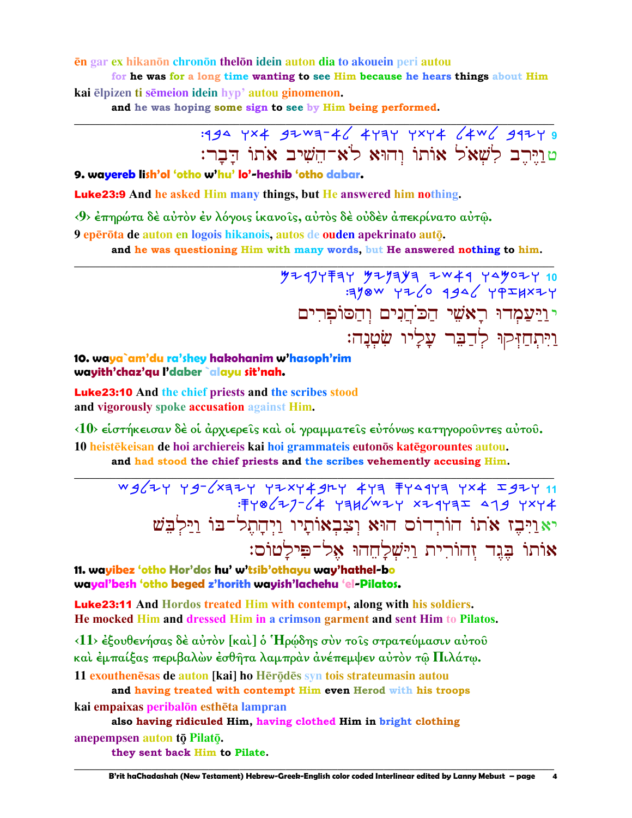### en gar ex hikanon chronon thelon idein auton dia to akouein peri autou

for he was for a long time wanting to see Him because he hears things about Him kai elpizen ti semeion idein hyp' autou ginomenon.

and he was hoping some sign to see by Him being performed.

# : 194 YX4 92 W 3-46 4 Y 3 Y XY 4 64W6 912 Y 3 טוירב לשאל אותו והוא לא־השיב אתו דבר:

### 9. wavereb lish'ol 'otho w'hu' lo'-heshib 'otho dabar.

**Luke23:9** And he asked Him many things, but He answered him nothing.

<9> έπηρώτα δέ αύτον έν λόγοις ικανοίς, αύτος δέ ούδεν άπεκρίνατο αύτω.

9 eperota de auton en logois hikanois, autos de ouden apekrinato auto.

and he was questioning Him with many words, but He answered nothing to him.

723777744 7444 749077 10<br>344 7466 9466 7760 1944: יוַיַעֲמְדוּ רַאֹשֵׁי הַכֹּהֲנִים וְהַסוֹפְרִים וַיִּתְחַזִּקוּ לְדַבֵּר עֲלָיו שִׂטְנָה:

## 10. waya`am'du ra'shey hakohanim w'hasoph'rim wayith'chaz'qu l'daber `alayu sit'nah.

**Luke23:10** And the chief priests and the scribes stood and vigorously spoke accusation against Him.

<10> είστήκεισαν δέ οί άρχιερείς και οί γραμματείς εύτόνως κατηγορούντες αύτου. 10 heistēkeisan de hoi archiereis kai hoi grammateis eutonos katēgorountes autou. and had stood the chief priests and the scribes vehemently accusing Him.

: FY 8/77-/4 Y3H/WZY XZ4Y3I 419 YXY4 יאַוַיִּבֶז אֹתוֹ הוֹרְדוֹס הוּא וְצִבְאוֹתָיו וַיִּהָתְלֹ־בּוֹ וַיַּלְבֵּשׁ אותו בְּגֵד זָהוֹרִית וַיִּשְׁלַחֲהוּ אָל־פִּילַטוֹס:

11. wavibez 'otho Hor'dos hu' w'tsib'othavu wav'hathel-bo wayal'besh 'otho beged z'horith wayish'lachehu 'el-Pilatos.

**Luke23:11** And Hordos treated Him with contempt, along with his soldiers. He mocked Him and dressed Him in a crimson garment and sent Him to Pilatos.

 $\langle 11 \rangle$  έξουθενήσας δε αύτον [και] ο Ήρώδης συν το ις στρατεύμασιν αύτου και έμπαίξας περιβαλών έσθητα λαμπράν άνέπεμψεν αύτον τω Πιλάτω. 11 exouthenesas de auton [kai] ho Herodes syn tois strateumasin autou

and having treated with contempt Him even Herod with his troops kai empaixas peribalon estheta lampran

also having ridiculed Him, having clothed Him in bright clothing anepempsen auton tō Pilatō.

they sent back Him to Pilate.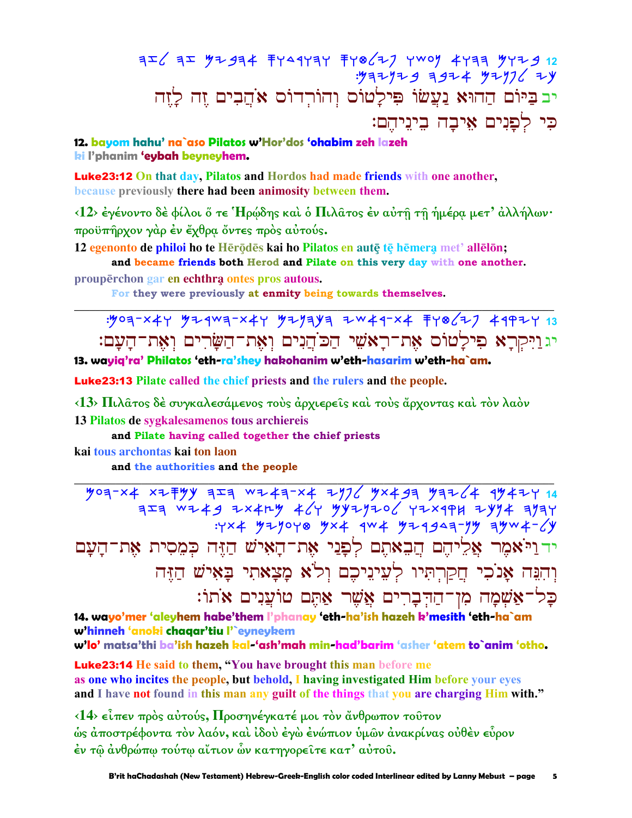# יב בַּיּוֹם הַהוּא נַעֲשׂוֹ פִּילַטוֹס וְהוֹרְדוֹס אֹהֲבִים זֶה לַזֶה כי לפנים איבה ביניהם:

12. bayom hahu' na`aso Pilatos w'Hor'dos 'ohabim zeh lazeh ki l'phanim 'eybah beyneyhem.

**Luke23:12** On that day, Pilatos and Hordos had made friends with one another, because previously there had been animosity between them.

 $\langle 12 \rangle$  έγένοντο δέ φίλοι ő τε Ήρώδης και ο Πιλατος έν αύτη τη ήμέρα μετ' άλλήλων· προϋπήρχον γάρ έν έχθρα όντες πρός αύτούς.

12 egenonto de philoi ho te Herodes kai ho Pilatos en aute te hemera met' allelon; and became friends both Herod and Pilate on this very day with one another.

prouperchon gar en echthra ontes pros autous.

For they were previously at enmity being towards themselves.

יגויקרא פילטוס את־ראשי הכהנים ואת־השרים ואת־העם:

13. wayiq'ra' Philatos 'eth-ra'shey hakohanim w'eth-hasarim w'eth-ha`am.

**Luke23:13** Pilate called the chief priests and the rulers and the people.

<13> Πιλάτος δέ συγκαλεσάμενος τους άρχιερείς και τους άρχοντας και τον λαόν 13 Pilatos de sygkalesamenos tous archiereis

and Pilate having called together the chief priests

kai tous archontas kai ton laon

and the authorities and the people

 $\frac{1}{2}$  yoa-x4 xz = yy a = a w z + a -x + z y 7 / y x + g = y a - 14 a y + z y 44  $723$   $W+49$   $211$   $46$   $46$   $99$   $729$   $106$   $721$   $194$   $794$   $794$  $4424$  32yoyo 3x4 4w4 324949799 44w4-64 ידויֹאמֶר אֲלֵיהֶם הֲבָאתֶם לְפָנֵי אֶת־הָאִישׁ הַזֶּה כִּמֶסִית אֶת־הָעָם וְהִנֵּה אֲנֹכִי חֲקַרְתִּיוּ לְעֵינֵיכֶם וְלֹא מַצָאתִי בַּאִישׁ הַזֶּה כַּל־אַשִׁמַה מִן־הַדִּבְרִים אֱשֵׁר אַתֵּם טוֹעֲנִים אֹתוֹ:

14. wayo'mer 'aleyhem habe'them l'phanay 'eth-ha'ish hazeh k'mesith 'eth-ha`am w'hinneh 'anoki chaqar'tiu l'`eyneykem w'lo' matsa'thi ba'ish hazeh kal-'ash'mah min-had'barim 'asher 'atem to`anim 'otho.

**Luke23:14** He said to them, "You have brought this man before me as one who incites the people, but behold, I having investigated Him before your eyes and I have not found in this man any guilt of the things that you are charging Him with."

<14> είπεν πρός αύτούς, Προσηνέγκατέ μοι τον άνθρωπον τούτον ώς άποστρέφοντα τον λαόν, και ίδου έγω ενώπιον υμών ανακρίνας ουθεν ευρον έν τω άνθρώπω τούτω αίτιον ών κατηγορείτε κατ' αύτου.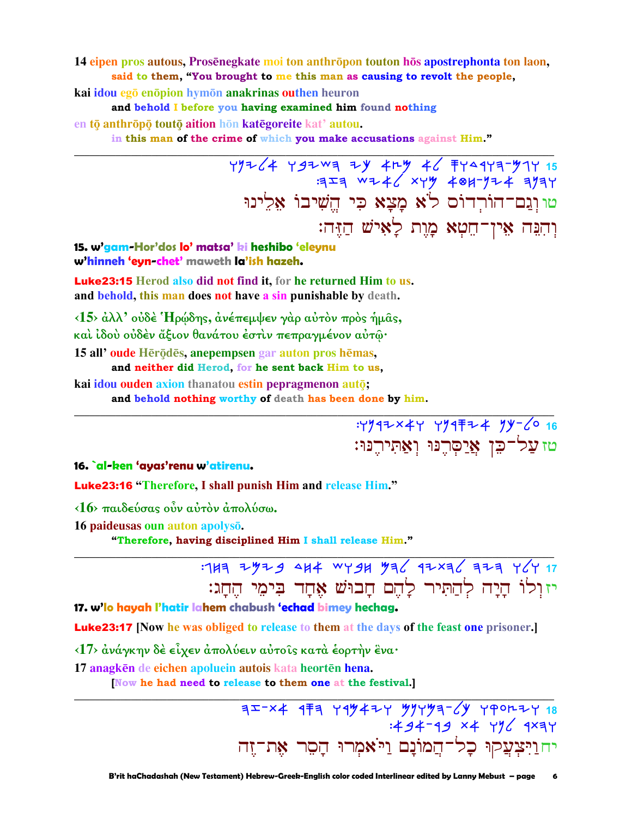14 eipen pros autous, Prosenegkate moi ton anthropon touton hos apostrephonta ton laon, said to them, "You brought to me this man as causing to revolt the people,

kai idou egō enōpion hymōn anakrinas outhen heuron

and behold I before you having examined him found nothing

en tō anthrōpō toutō aition hōn katēgoreite kat' autou.

in this man of the crime of which you make accusations against Him."

 $79764 79709 79 409 46 7937971$ טו וְגַם־הוֹרְדוֹס לֹא מָצָא כִּי הֵשִׁיבוֹ אַלֵינוּ וְהִבָּה אֵין־חֵטָא מַוֵת לַאִישׁ הַזֶּה:

15. w'gam-Hor'dos lo' matsa' ki heshibo 'eleynu w'hinneh 'eyn-chet' maweth la'ish hazeh.

**Luke23:15** Herod also did not find it, for he returned Him to us. and behold, this man does not have a sin punishable by death.

<15> άλλ' ούδέ 'Ηρώδης, άνέπεμψεν γάρ αύτον προς ήμας, και ίδου ούδέν άξιον θανάτου έστιν πεπραγμένον αυτώ·

15 all'oude Herodes, anepempsen gar auton pros hemas,

and neither did Herod, for he sent back Him to us,

kai idou ouden axion thanatou estin pepragmenon auto; and behold nothing worthy of death has been done by him.

:Y947x4Y Y94 F24 9y-60 16

16. al-ken 'ayas'renu w'atirenu.

**Luke23:16** "Therefore, I shall punish Him and release Him."

 $\langle 16 \rangle$  παιδεύσας ούν αύτον άπολύσω.

16 paideusas oun auton apolysō.

"Therefore, having disciplined Him I shall release Him."

: 143 2429 444 WY94 436 42×36 323 YGY 17 יזולו היה להתיר להם חבוש אחד בימי החג:

טז עַל־כֵן אֲיַסְרֵנּוּ וְאֲתִירֵנּוּ:

17. w'lo hayah l'hatir lahem chabush 'echad bimey hechag.

**Luke23:17** [Now he was obliged to release to them at the days of the feast one prisoner.]

<17> ανάγκην δέ είχεν απολύειν αυτοίς κατά έορτην ένα·

17 anagkēn de eichen apoluein autois kata heortēn hena.

Now he had need to release to them one at the festival.]

 $75-24$  4<sup>7</sup> 1494 x + 1494 x + 1494 x + 1494 x + 1494 x + 1494 x + 1494 x + 1494 x + 1494 x + 1494 x + 1494 x + 1494 x + 1494 x + 1494 x + 1494 x + 1494 x + 1494 x + 1494 x + 1494 x + 1494 x + 1494 x + 1494 x + 1494 x + 1 יחוַיִּצְעֲקוּ כָל־הֲמוֹנָם וַיֹּאמִרוּ הַסֵר אַת־זֵה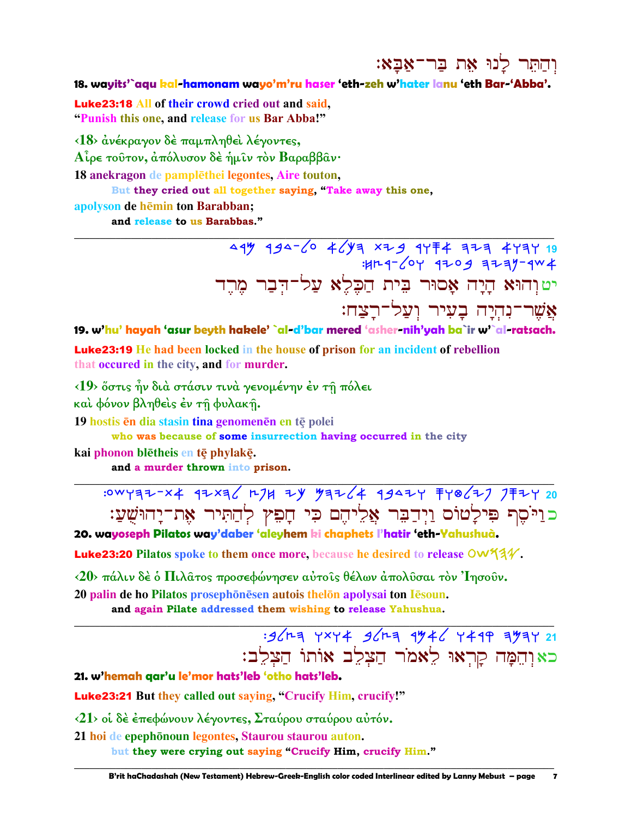והתר לנו את בר־אבא:

18. wayits'`agu kal-hamonam wayo'm'ru haser 'eth-zeh w'hater lanu 'eth Bar-'Abba'.

**Luke23:18 All of their crowd cried out and said.** "Punish this one, and release for us Bar Abba!"

<18> ανέκραγον δε παμπληθεί λέγοντες,

Αίρε τούτον, άπόλυσον δέ ήμιν τον Βαραββαν·

18 anekragon de pamplēthei legontes, Aire touton,

But they cried out all together saying, "Take away this one,

apolyson de hēmin ton Barabban; and release to us Barabbas."

> 49 934-60 4643 x29 9774 323 4737 19  $47204$   $4709$   $7747$ יטןְהוּא הָיָה אָסוּר בִּית הַכָּלֵא עַל־דִּבַר מַרֵד אֲשֶׁר־נְהִיַה בָעִיר וְעֲל־רַצַח:

19. w'hu' hayah 'asur beyth hakele' `al-d'bar mered 'asher-nih'yah ba`ir w'`al-ratsach. **Luke23:19** He had been locked in the house of prison for an incident of rebellion that occurred in the city, and for murder.

<19> όστις ην διά στάσιν τινά γενομένην έν τη πόλει

και φόνον βληθείς έν τη φυλακή.

19 hostis en dia stasin tina genomenen en te polei

who was because of some insurrection having occurred in the city

kai phonon blētheis en tē phylakē.

and a murder thrown into prison.

: 0WYR7-X4 97XR6 H7H 7Y 57764 99474 FY8677 7F7Y 20 כוַיֹּסֵף פִּילַטוֹם וַיִּדַבֵּר אֲלִיהֵם כִּי חָפִץ לְהַתִּיר אָת־יַחוּשָׁעַ:

20. wayoseph Pilatos way'daber 'aleyhem ki chaphets l'hatir 'eth-Yahushuà.

Luke23:20 Pilatos spoke to them once more, because he desired to release OW534.

<20> πάλιν δέ ο Πιλατος προσεφώνησεν αύτοις θέλων απολύσαι τον Ίησουν. 20 palin de ho Pilatos prosephonesen autois the lon apolysai ton Iesoun.

and again Pilate addressed them wishing to release Yahushua.

: 96 ha YXY 4 96 ha 9446 Y 49 9 7 9 21 כאוהִמָּה קַרְאוּ לֵאמֹר הַצְלֵב אוֹתוֹ הַצְלֵב:

21. w'hemah qar'u le'mor hats'leb 'otho hats'leb.

**Luke23:21** But they called out saying, "Crucify Him, crucify!"

<21> οί δέ έπεφώνουν λέγοντες, Σταύρου σταύρου αύτόν.

21 hoi de epephōnoun legontes, Staurou staurou auton. but they were crying out saying "Crucify Him, crucify Him."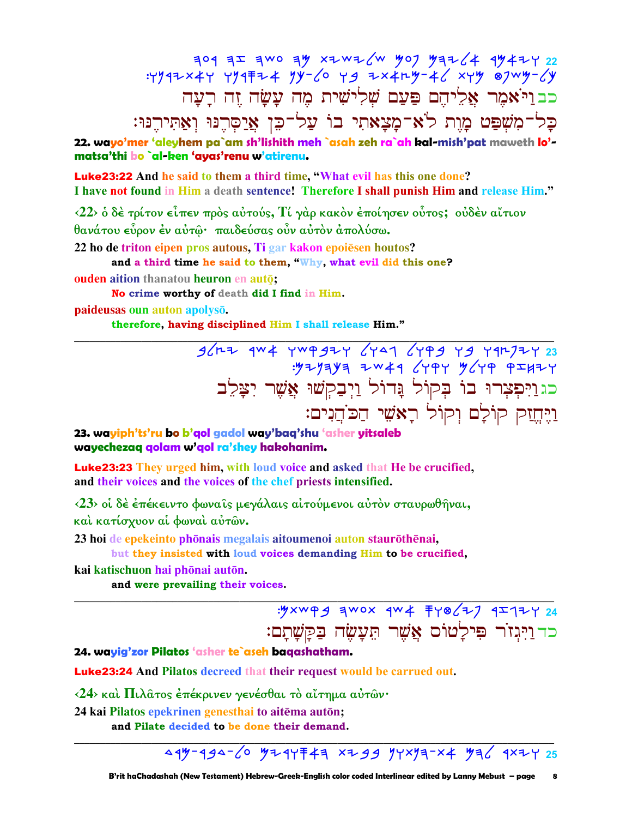$304 32 300 39 x20x2/w 907 93224 9942722$ <br> :Y942x4Y Y94\+2 yy-60 Y9 zx4ry-46 xyy 87wy-6y כב וַיֹּאמֶר אֲלֵיהֶם פַּעַם שָׁלִישִׁית מֶה עַשַׂה זֶה רַעַה כַל־מִשִׁפַּט מַוֵּת לֹא־מַצַאתִי בוֹ עַל־כֵּן אֲיַסְרֶנּוּ וְאֲתִירֶנּוּ:

22. wayo'mer 'aleyhem pa`am sh'lishith meh `asah zeh ra`ah kal-mish'pat maweth lo'matsa'thi bo `al-ken 'ayas'renu w'atirenu.

**Luke23:22** And he said to them a third time, "What evil has this one done? I have not found in Him a death sentence! Therefore I shall punish Him and release Him."

 $\langle 22 \rangle$  ο δέ τρίτον είπεν προς αύτούς, Τί γαρ κακον έποίησεν ούτος; ουδέν αίτιον θανάτου εύρον έν αύτω· παιδεύσας ούν αύτον άπολύσω.

22 ho de triton eipen pros autous. Ti gar kakon epoiesen houtos?

and a third time he said to them, "Why, what evil did this one?

ouden aition thanatou heuron en autō;

No crime worthy of death did I find in Him.

paideusas oun auton apolysō.

therefore, having disciplined Him I shall release Him."

 $3642$  4w4 4w9924 6497 6499 79 794723<br>۳۶۲۶ 949 740 7941 6494 744. כגוַיִּפְצְרוּ בוֹ בְּקוֹל גָּדוֹל וַיְבַקְשׁוּ אֲשֶׁר יִצַּלֵב <u>ויֵח</u>זק קוֹלַם וִקוֹל רַאֹשֵׁי הַכּוֹהֵנִים:

23. wayiph'ts'ru bo b'gol gadol way'bag'shu 'asher yitsaleb wayechezaq qolam w'qol ra'shey hakohanim.

**Luke23:23** They urged him, with loud voice and asked that He be crucified, and their voices and the voices of the chef priests intensified.

<23> οί δέ έπέκειντο φωναίς μεγάλαις αίτούμενοι αύτον σταυρωθήναι, καί κατίσχυον αί φωναί αύτων.

23 hoi de epekeinto phōnais megalais aitoumenoi auton staurōthēnai,

but they insisted with loud voices demanding Him to be crucified,

kai katischuon hai phōnai autōn.

and were prevailing their voices.

: yxwpg awox qw 4 7 yo (2) 9 1 24 כד וַיִּגְזֹר פִּילַטוֹס אֲשֶׁר תֵּעָשֶׂה בַּקָּשָׁתָם:

24. wayig'zor Pilatos 'asher te`aseh baqashatham.

**Luke23:24** And Pilatos decreed that their request would be carrued out.

<24> καί Πιλατος έπέκρινεν γενέσθαι το αΐτημα αύτων·

24 kai Pilatos epekrinen genesthai to aitēma autōn;

and Pilate decided to be done their demand.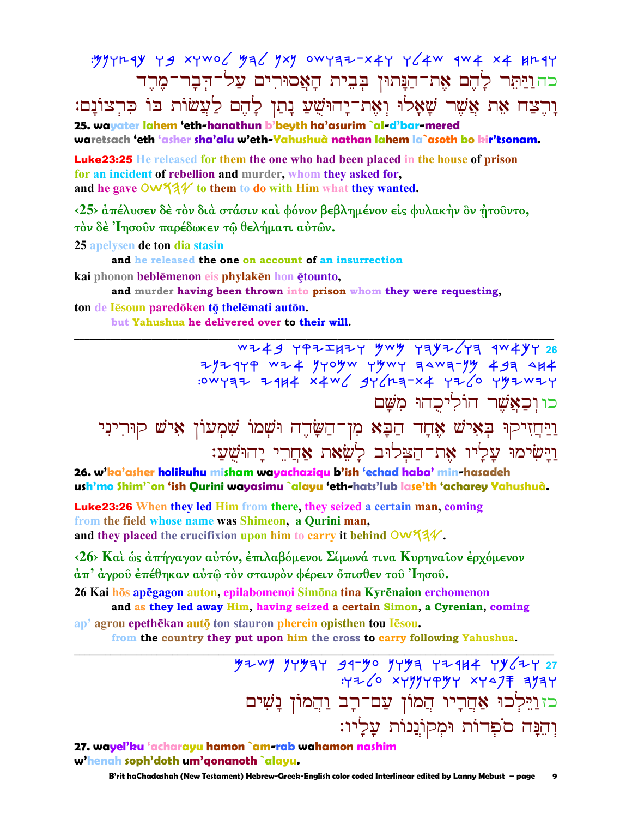: yyyrnqy yg xywo / ya / yxy owyaz-x4y y / 4w qw 4 x 4 Hrqy כהוַיַּתִּר לָהֵם אֶת־הַנָּתוּן בִּבִית הָאֲסוּרִים עַל־הִבָר־מֶרֵד וַרֵצַח אֶת אֱשֶׁר שַׁאֲלוּ וְאָת־יַהוּשָׁעַ נַתַן לַהֶם לַעֲשׂוֹת בּוֹ כִּרְצוֹנַם: 25. wavater lahem 'eth-hanathun b'beyth ha'asurim `al-d'bar-mered

waretsach 'eth 'asher sha'alu w'eth-Yahushuà nathan lahem la`asoth bo bir'tsonam.

**Luke23:25** He released for them the one who had been placed in the house of prison for an incident of rebellion and murder, whom they asked for, and he gave  $\overline{O}W^2/4$  to them to do with Him what they wanted.

<25> άπέλυσεν δέ τον διά στάσιν και φόνον βεβλημένον είς φυλακήν δν ήτοῦντο, τόν δέ Ίησουν παρέδωκεν τω θελήματι αύτων.

25 apelysen de ton dia stasin

and he released the one on account of an insurrection

kai phonon beblēmenon eis phylakēn hon ētounto,

and murder having been thrown into prison whom they were requesting.

ton de Iesoun paredoken to the lemati auton. but Yahushua he delivered over to their will.

 $7/779$   $7/7$   $4/7$   $7/7$   $7/7$   $7/7$   $7/7$   $7/7$   $7/7$   $7/7$   $7/7$   $7/7$   $7/7$   $7/7$   $7/7$   $7/7$   $7/7$   $7/7$   $7/7$   $7/7$   $7/7$   $7/7$   $7/7$   $7/7$   $7/7$   $7/7$   $7/7$   $7/7$   $7/7$   $7/7$   $7/7$   $7/7$   $7/7$   $7/7$   $7/7$   $7/7$   $7/$ :0WY37 Z4H4 X4W SYCH3-X4 YIV0 YYIWIY כו וכאֲשֶׁר הוֹלִיכְהוּ מִשֵּׁם ַרַיְחֲזִיקוּ בְּאִישׁ אֶחָד הַבָּא מִן־הַשָּׂדֶה וּשָׁמוֹ שִׁמְעוֹן אִישׁ קוּרִינִי

וַיַּשִׂימוּ עַלִיו אָת־הַצִּלוּב לַשָׂאת אַחֲרֵי יַהוּשָׁעֲ:

26. w'ka'asher holikuhu misham wayachazigu b'ish 'echad haba' min-hasadeh ush'mo Shim'`on 'ish Qurini wayasimu `alayu 'eth-hats'lub lase'th 'acharey Yahushuà.

**Luke23:26** When they led Him from there, they seized a certain man, coming from the field whose name was Shimeon, a Qurini man, and they placed the crucifixion upon him to carry it behind  $\mathsf{OW44V}$ .

<26> Και ως απήγαγον αυτόν, επιλαβόμενοι Σίμωνά τινα Κυρηναίον ερχόμενον άπ' άγροῦ ἐπέθηκαν αὐτῶ τὸν σταυρὸν φέρειν ὄπισθεν τοῦ Ἰησοῦ.

26 Kai hōs apēgagon auton, epilabomenoi Simōna tina Kyrēnaion erchomenon and as they led away Him, having seized a certain Simon, a Cyrenian, coming

ap' agrou epethēkan autō ton stauron pherein opisthen tou Iesou.

from the country they put upon him the cross to carry following Yahushua.

 $772/0$  xyyyyayy xyaj ayay כז וַיֵּלְכוּ אַחֲרָיו הֲמוֹן עֲם־רָב וַהֲמוֹן נָשִׁים וְהֵנַּה סֹפִדוֹת וּמִקוֹנֵנוֹת עַלַיו:

27. wayel'ku 'acharayu hamon `am-rab wahamon nashim w'henah soph'doth um'gonanoth `alayu.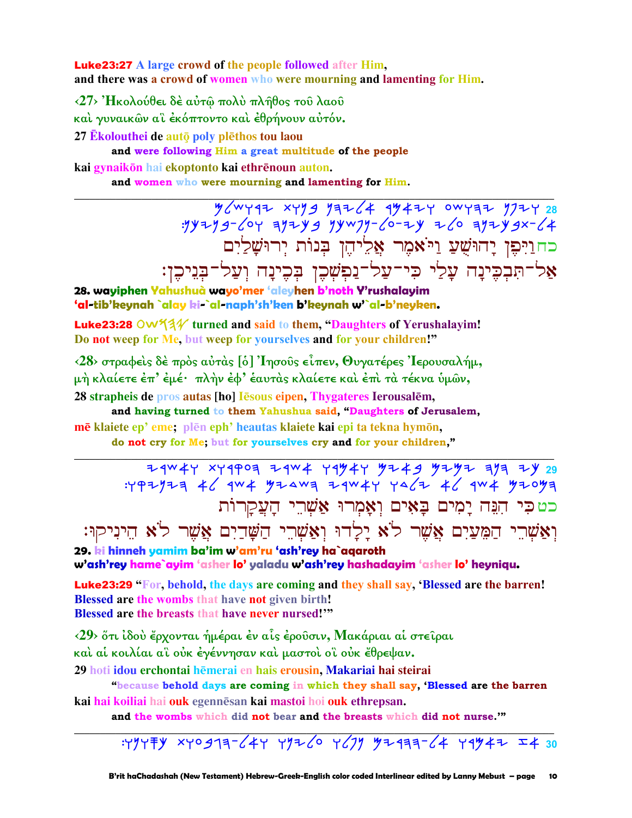**Luke23:27** A large crowd of the people followed after Him. and there was a crowd of women who were mourning and lamenting for Him.

<27> Ήκολούθει δέ αύτω πολύ πλήθος του λαού

καί γυναικών αϊ έκόπτοντο καί έθρήνουν αύτόν.

27 Ekolouthei de autō poly plēthos tou laou

and were following Him a great multitude of the people

kai gynaikōn hai ekoptonto kai ethrēnoun auton.

and women who were mourning and lamenting for Him.

 $\frac{y}{y} = \frac{y}{y} = \frac{y}{y} = \frac{y}{y} = \frac{y}{y} = \frac{y}{y} = \frac{y}{y} = \frac{y}{y} = \frac{y}{y} = \frac{y}{y} = \frac{y}{y} = \frac{y}{y} = \frac{y}{y} = \frac{y}{y} = \frac{y}{y} = \frac{y}{y} = \frac{y}{y} = \frac{y}{y} = \frac{y}{y} = \frac{y}{y} = \frac{y}{y} = \frac{y}{y} = \frac{y}{y} = \frac{y}{y} = \frac{y}{y} = \frac{y}{y} = \frac{y}{y} = \frac{y$ כחוַיִּפִן יָהוּשָׁעַ וַיֹּאמֶר אֲלֵיהֵן בִּנוֹת יִרוּשָׁלַיִם אַל־תִּבְכֵינַה עַלַי כִּי־עַל־נַפְשָׁכֵן בְּכֵינַה וְעַל־בְּנֵיכֵן:

28. wayiphen Yahushuà wayo'mer 'aleyhen b'noth Y'rushalayim 'al-tib'keynah `alay ki-`al-naph'sh'ken b'keynah w'`al-b'neyken.

Luke23:28 OW 51/2 turned and said to them, "Daughters of Yerushalayim! Do not weep for Me, but weep for yourselves and for your children!"

<28> στραφείς δέ πρός αύτας [ό] 'Iησούς είπεν, Θυγατέρες 'Iερουσαλήμ, μή κλαίετε έπ' έμέ· πλήν έφ' έαυτάς κλαίετε και έπι τα τέκνα υμών,

28 strapheis de pros autas [ho] Iēsous eipen, Thygateres Ierousalēm,

and having turned to them Yahushua said, "Daughters of Jerusalem, mē klaiete ep' eme, plēn eph' heautas klaiete kai epi ta tekna hymōn,

do not cry for Me, but for yourselves cry and for your children,"

כטכי הִנֵּה יָמִים בָאִים וְאָמְרוּ אַשְׁרֵי הַעֲקַרוֹת

וְאֲשֶׁרֵי הַמֵּעֲיָם אֲשֶׁר לֹא יַלַדוּ וְאֲשָׁרֵי הַשַּׁדַיִם אֲשֶׁר לֹא הֵינִיקוּ: 29. ki hinneh yamim ba'im w'am'ru 'ash'rey ha`agaroth

w'ash'rey hame`ayim 'asher lo' yaladu w'ash'rey hashadayim 'asher lo' heyniqu.

Luke23:29 "For, behold, the days are coming and they shall say, 'Blessed are the barren! **Blessed are the wombs that have not given birth! Blessed are the breasts that have never nursed!**"

<29> ὅτι ἰδού ἔρχονται ήμέραι ἐν αἶς ἐροῦσιν, Μακάριαι αἱ στεῖραι καί αί κοιλίαι αΐ ούκ έγέννησαν καί μαστοί οΐ ούκ έθρεψαν.

29 hoti idou erchontai hēmerai en hais erousin, Makariai hai steirai

"because behold days are coming in which they shall say, 'Blessed are the barren

kai hai koiliai hai ouk egennēsan kai mastoi hoi ouk ethrepsan.

and the wombs which did not bear and the breasts which did not nurse."

: YYYFY xyog19-64Y YYZ6 Y67Y YZ999-64 Y9Y4Z I4 30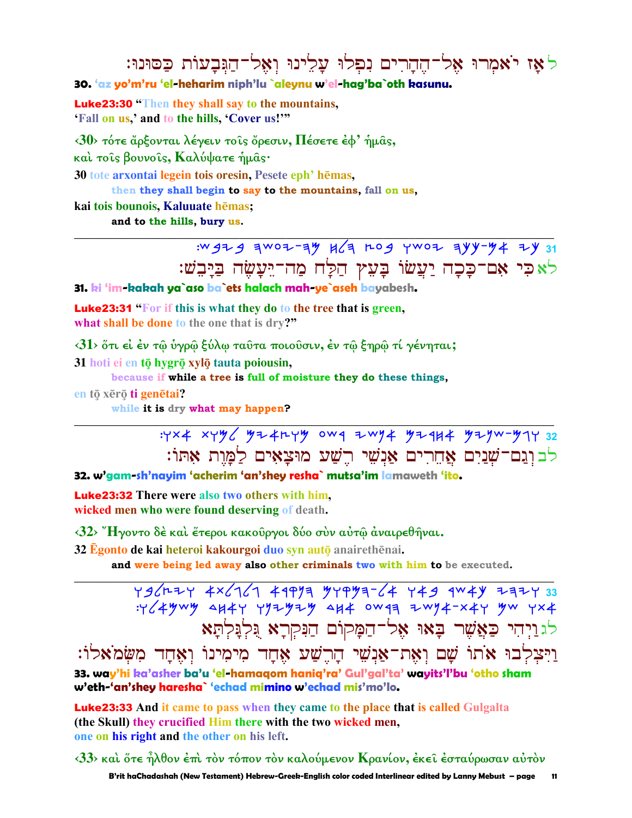לאַז יֹאמִרוּ אֵל־הֵהֲרִים נִפְלוּ עַלֵינוּ וְאָל־הַגִּבְעוֹת כַּסוּנוּ:

30. 'az yo'm'ru 'el-heharim niph'lu `aleynu w'el-hag'ba`oth kasunu.

**Luke23:30** "Then they shall say to the mountains. 'Fall on us,' and to the hills, 'Cover us!'"

 $\langle 30 \rangle$  τότε άρξονται λέγειν τοις όρεσιν, Πέσετε έφ' ήμας, καί τοίς βουνοίς, Καλύψατε ήμας· 30 tote arxontai legein tois oresin, Pesete eph' hēmas, then they shall begin to say to the mountains, fall on us, kai tois bounois, Kaluuate hēmas;

and to the hills, bury us.

:W 47 4 3W07-34 K 4 L 04 Y W07 344-44 74 31 לאפי אם־פַכָה יַעֲשׂוֹ בַּעָץ הַלַּח מַה־יֵּעֲשָׂה בַיַּבִשׁ:

31. ki 'im-kakah ya`aso ba`ets halach mah-ye`aseh bayabesh.

**Luke23:31 "For if this is what they do to the tree that is green,** what shall be done to the one that is dry?"

 $\langle 31 \rangle$  ὅτι εἰ ἐν τῷ ὑγρῷ ξύλῳ ταῦτα ποιοῦσιν, ἐν τῷ ξηρῷ τί γένηται;

31 hoti ei en tō hygrō xylō tauta poiousin,

because if while a tree is full of moisture they do these things,

en tō xērō ti genētai?

while it is dry what may happen?

: YX4 XYY / YZ4rYY OW9 ZWY4 YZ9H4 YZYW-Y7Y 32 לבונם־שַׁנַיִם אַחֲרִים אַנִשִׁי רֵשַׁע מוּצַאִים לַמֲוַת אָתּוֹ:

32. w'gam-sh'nayim 'acherim 'an'shey resha` mutsa'im lamaweth 'ito.

**Luke23:32** There were also two others with him. wicked men who were found deserving of death.

 $\langle 32 \rangle$  "Ηγοντο δέ και έτεροι κακούργοι δύο συν αυτώ αναιρεθήναι.

32 Egonto de kai heteroi kakourgoi duo syn autō anairethēnai.

and were being led away also other criminals two with him to be executed.

436424 4x6161 4197 77971-64 749 1447 2127 33<br>Y649wy 4147 772929 414 0W11 2W74-x47 9w 7x4 לגויחי כַאֲשֶׁר בָאוּ אֶל־חַמַקוֹם הַנִּקְרַא גִּלְגַּלְתַּא

וַיִּצִלְבוּ אֹתוֹ שַׁם וְאָת־אַנִשִׁי הַרֵשַׁע אָחָד מִימִינוֹ וְאֶחָד מִשְׂמֹאלוֹ: 33. way'hi ka'asher ba'u 'el-hamaqom haniq'ra' Gul'gal'ta' wayits'l'bu 'otho sham w'eth-'an'shey haresha` 'echad mimino w'echad mis'mo'lo.

**Luke23:33** And it came to pass when they came to the place that is called Gulgalta (the Skull) they crucified Him there with the two wicked men, one on his right and the other on his left.

 $\langle 33 \rangle$  και ὅτε ἦλθον ἐπι τὸν τόπον τὸν καλούμενον Κρανίον, ἐκεῖ ἐσταύρωσαν αὐτὸν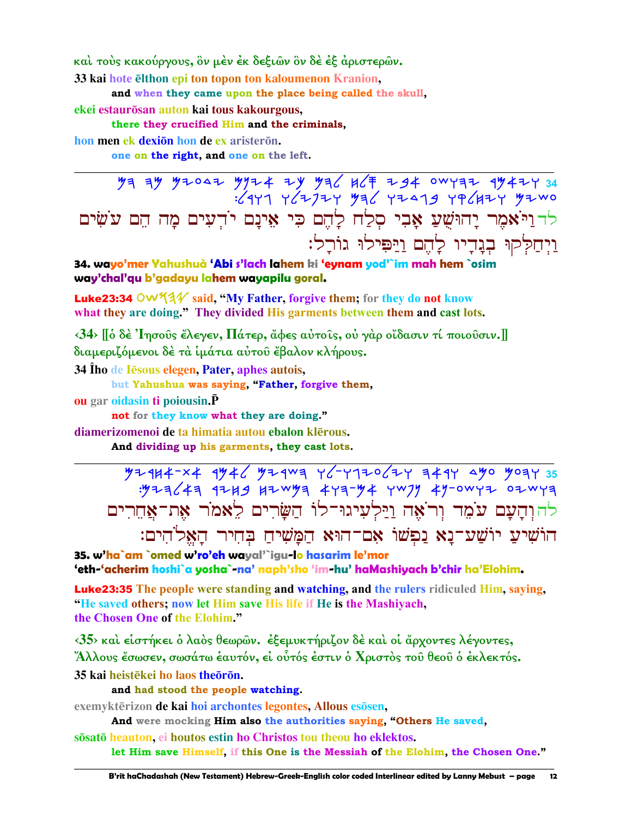και τους κακούργους, ὃν μέν έκ δεξιῶν ὃν δε έξ άριστερῶν.

33 kai hote elthon epi ton topon ton kaloumenon Kranion,

and when they came upon the place being called the skull.

ekei estaurōsan auton kai tous kakourgous,

there they crucified Him and the criminals,

hon men ek dexion hon de ex aristeron.

one on the right, and one on the left.

 $79 99 97047 9974 79 996 967 9974 9974 9974 34$ לדוַיֹּאמֶר יָהוּשֻׁעַ אָבִי סְלַח לָהֶם כִּי אֵינָם יֹדִעִים מָה הֵם עֹשִׂים וַיְחַלְקוּ בְנֵדֵיו לַהֵם וַיַּפִּילוּ גוֹרֵל:

34. wavo'mer Yahushuà 'Abi s'lach lahem ki 'evnam vod'`im mah hem `osim way'chal'gu b'gadayu lahem wayapilu goral.

**Luke23:34 OW53** $\mathcal{U}$  said, "My Father, forgive them; for they do not know what they are doing." They divided His garments between them and cast lots.

 $\langle 34 \rangle$  [[δ δε 'Iησούς έλεγεν, Πάτερ, άφες αύτοις, ού γαρ οίδασιν τί ποιούσιν.]] διαμεριζόμενοι δέ τα ίμάτια αύτου έβαλον κλήρους.

34 Îho de Iesous elegen, Pater, aphes autois,

but Yahushua was saying, "Father, forgive them,

**ou** gar oidasin ti poiousin. P

not for they know what they are doing."

diamerizomenoi de ta himatia autou ebalon klērous.

And dividing up his garments, they cast lots.

 $4444224$  4446 4446 4444 446444 446444 44644 להוִהַעֲם עֹמֶד וְרֹאָה וַיַּלְעִיגוּ־לוֹ הַשַּׂרִים לֵאמֹר אֶת־אֲחֶרִים הוֹשִׁיעַ יוֹשֲע־נַא נַפְשׁוֹ אָם־הוּא הַמֲשִׁיחַ בְּחִיר הָאֱלֹהִים:

35. w'ha`am `omed w'ro'eh wayal'`igu-lo hasarim le'mor 'eth-'acherim hoshi`a yosha`-na' naph'sho 'im-hu' haMashiyach b'chir ha'Elohim.

**Luke23:35** The people were standing and watching, and the rulers ridiculed Him, saying, "He saved others; now let Him save His life if He is the Mashiyach, the Chosen One of the Elohim."

 $\langle 35 \rangle$  και είστήκει ο λαός θεωρών. εξεμυκτήριζον δε και οι άρχοντες λέγοντες, "Άλλους ἔσωσεν, σωσάτω ἑαυτόν, εἰ οὗτός ἐστιν ὁ Χριστὸς τοῦ θεοῦ ὁ ἐκλεκτός. 35 kai heistēkei ho laos theoron.

and had stood the people watching.

exemyktērizon de kai hoi archontes legontes, Allous esosen,

And were mocking Him also the authorities saying, "Others He saved,

sosato heauton, ei houtos estin ho Christos tou theou ho eklektos. let Him save Himself, if this One is the Messiah of the Elohim, the Chosen One."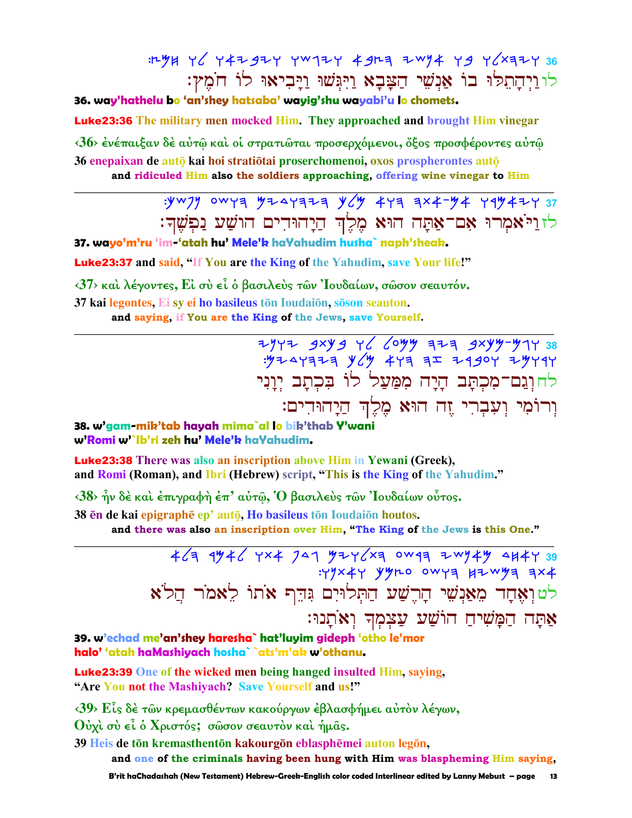# :LYH Y (Y4ZgZY YW1ZY 4gL= ZWY4 Y9 Y (X=ZY 36 לו וַיְהַתְלֹּוּ בוֹ אֲנְשֶׁי הַצָּבָא וַיְּגִּשׁוּ וַיַּבְיאוּ לוֹ חֹמֵץ:

## 36. way'hathelu bo 'an'shey hatsaba' wayig'shu wayabi'u lo chomets.

**Luke23:36** The military men mocked Him. They approached and brought Him vinegar

<36> ένέπαιξαν δε αύτω και οι στρατιώται προσερχόμενοι, όξος προσφέροντες αυτώ 36 enepaixan de autō kai hoi stratiōtai proserchomenoi, oxos prospherontes autō and ridiculed Him also the soldiers approaching, offering wine vinegar to Him

# $: yw7y$  owya  $y7447777$   $y/y$   $4y777777$   $4x777777777$ לזוַיֹּאמִרוּ אָם־אַתָּה הוּא מֵלֵךְ הַיָהוּדִים הוֹשַׁע נַפִשֵּׁךְ:

37. wavo'm'ru 'im-'atah hu' Mele'k haYahudim husha` naph'sheak.

**Luke23:37** and said, "If You are the King of the Yahudim, save Your life!"

 $\langle 37 \rangle$  και λέγοντες, Ει συ εί ο βασιλευς των Ιουδαίων, σωσον σεαυτόν.

37 kai legontes, Ei sy ei ho basileus tōn Ioudaiōn, sōson seauton.

and saying, if You are the King of the Jews, save Yourself.

2942 3xy 3 46 60yy 727 3xyy-y14 38  $\frac{1}{2}$   $\frac{1}{2}$   $\frac{1}{2}$   $\frac{1}{2}$   $\frac{1}{2}$   $\frac{1}{2}$   $\frac{1}{2}$   $\frac{1}{2}$   $\frac{1}{2}$   $\frac{1}{2}$   $\frac{1}{2}$   $\frac{1}{2}$   $\frac{1}{2}$   $\frac{1}{2}$   $\frac{1}{2}$   $\frac{1}{2}$   $\frac{1}{2}$   $\frac{1}{2}$   $\frac{1}{2}$   $\frac{1}{2}$   $\frac{1}{2}$   $\frac{1}{2}$  לחוִנֵם־מִכְתַּב הַיָּה מִמַּעַל לוֹ בִּכְתַב יִוָּנִי וְרוֹמִי וְעָבְרִי זֵה הוּא מֵלֵךְ הַיָהוּדִים:

38. w'gam-mik'tab hayah mima`al lo bik'thab Y'wani w'Romi w'`lb'ri zeh hu' Mele'b haVahudim.

**Luke23:38** There was also an inscription above Him in Yewani (Greek), and Romi (Roman), and Ibri (Hebrew) script, "This is the King of the Yahudim."

 $\langle 38 \rangle$  ήν δέ και έπιγραφή έπ' αύτ $\hat{\omega}$ , Ό βασιλευς των 'Ιουδαίων ούτος.

38 en de kai epigraphe ep' auto, Ho basileus ton Ioudaion houtos.

and there was also an inscription over Him, "The King of the Jews is this One."

 $464$   $4% +6$   $4×4$   $7×1$   $97×16$   $10×19$   $10×19$   $10×19$   $10×19$   $10×19$   $10×19$   $10×19$   $10×19$   $10×19$   $10×19$   $10×19$   $10×19$   $10×19$   $10×19$   $10×19$   $10×19$   $10×19$   $10×19$   $10×19$   $10×19$   $10×19$   $10×19$   $10×19$   $10×$  $: \frac{1}{4}$  yyro owya kiwya ax4 לטואָחָד מִאַנְשִׁי הָרֵשַׁע הַתְּלוּיִם גִּדֵּף אֹתוֹ לֵאמֹר הֲלֹא אַתַּה הַמַּשִׁיחַ הוֹשַׁע עַצְמְךָ וְאֹתָנוּ:

39. w'echad me'an'shey haresha` hat'luyim gideph 'otho le'mor halo' 'atah haMashiyach hosha` `ats'm'ak w'othanu.

**Luke23:39** One of the wicked men being hanged insulted Him, saying, "Are You not the Mashiyach? Save Yourself and us!"

<39> Είς δέ των κρεμασθέντων κακούργων έβλασφήμει αύτον λέγων,

Ούχι σύ εί ο Χριστός; σώσον σεαυτόν και ήμας.

39 Heis de tōn kremasthentōn kakourgōn eblasphēmei auton legōn,

and one of the criminals having been hung with Him was blaspheming Him saying,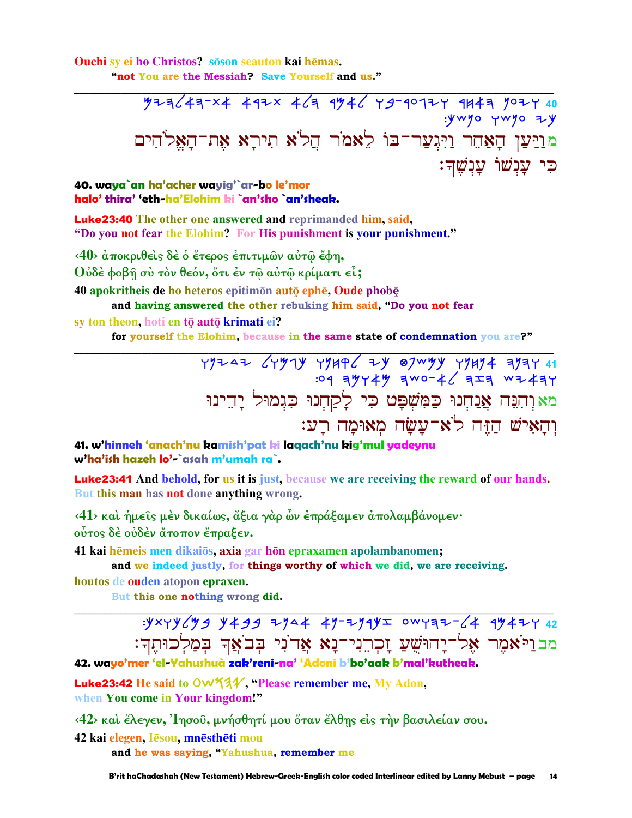Ouchi sy ei ho Christos? so seauton kai hēmas. "not You are the Messiah? Save Yourself and us."

> :YWYO YWYO ZY מוַיַּעַן הָאֲחֵר וַיִּגְעַר־בּוֹ לֵאמֹר הֲלֹא תִירַא אֶת־הַאֲלֹהִים ּכִּי עֲנִשׁוֹ עֲנִשֶׁךָ:

40. waya`an ha'acher wayig'`ar-bo le'mor halo' thira' 'eth-ha'Elohim ki `an'sho `an'sheak.

**Luke23:40** The other one answered and reprimanded him, said, "Do you not fear the Elohim? For His punishment is your punishment."

<40> άποκριθείς δε ο έτερος επιτιμών αύτώ έφη, Ούδέ φοβή σύ τον θεόν, ότι έν τω αύτω κρίματι εί;

40 apokritheis de ho heteros epitimon auto ephe, Oude phobe and having answered the other rebuking him said, "Do you not fear

sy ton theon, hoti en tō autō krimati ei? for yourself the Elohim, because in the same state of condemnation you are?"

> מא וְהִנֵּה אֲנַחְנוּ כַּמִּשְׁפָּט כִּי לַקַחִנוּ כִּגִמוּל יָהֵינוּ והאיש הזה לֹא־עשׂה מאוּמה רע:

41. w'hinneh 'anach'nu kamish'pat ki lagach'nu kig'mul yadeynu w'ha'ish hazeh lo'-`asah m'umah ra`.

**Luke23:41** And behold, for us it is just, because we are receiving the reward of our hands. But this man has not done anything wrong.

<41> και ήμείς μέν δικαίως, άξια γαρ ών έπράξαμεν απολαμβάνομεν· ούτος δέ ούδέν άτοπον έπραξεν.

41 kai hēmeis men dikaios, axia gar hōn epraxamen apolambanomen;

and we indeed justly, for things worthy of which we did, we are receiving.

houtos de ouden atopon epraxen.

But this one nothing wrong did.

 $y \times y \times y \times y$  y + 39 zy a + y - zy 1y = ow y = z + 1y + z + 2z מבוַיֹּאמֵר אֵל־יַחוּשֵׁעַ זַכְרֵנִי־נָא אֲדֹנִי בְּבֹאֲךָ בְּמַלְכוּתֶךְ:

42. wayo'mer 'el-Yahushuà zak'reni-na' 'Adoni b'bo'aak b'mal'kutheak.

Luke23:42 He said to OW 434 "Please remember me, My Adon, when You come in Your kingdom!"

<42> και έλεγεν, 'Ιησοῦ, μνήσθητί μου ὅταν ἔλθης είς τὴν βασιλείαν σου.

42 kai elegen, Iēsou, mnēsthēti mou

and he was saying, "Yahushua, remember me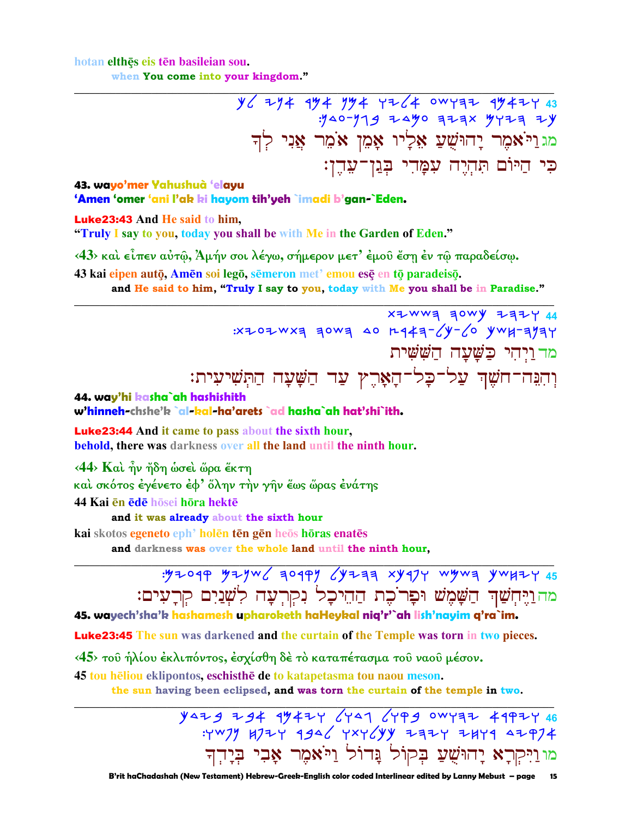hotan elthes eis ten basileian sou. when You come into your kingdom."

> $y'$  274 174 174 12/4 0WYAZ 1742  $.940 - 979$  2490 323x 9723 24 מג וַיֹּאמֶר יָהוּשֻׁעַ אָלְיו אָמֵן אֹמֵר אַנִי לִדְ כִּי הַיּוֹם תִּהְיֶה עִמָּהִי בְּגַן־עֵהֶן:

## 43. wayo'mer Yahushuà 'elayu 'Amen 'omer 'ani l'ak ki hayom tih'yeh `imadi b'gan-`Eden.

Luke23:43 And He said to him,

"Truly I say to you, today you shall be with Me in the Garden of Eden."

<43> και είπεν αύτῶ, Άμήν σοι λέγω, σήμερον μετ' έμου έση έν τῶ παραδείσω.

43 kai eipen autō, Amēn soi legō, sēmeron met' emou esē en tō paradeisō.

and He said to him, "Truly I say to you, today with Me you shall be in Paradise."

XZWWE ZOWY ZZZY 44 : x z o z w x = = 0 w = 40 r q + = - (y - (0 y w k - = y = y מד ויחי כשעה הששית וְהִנֵּה־חֹשֵׁךְ עַל־כָל־הָאָרֵץ עַד הַשָּׁעָה הַתִּשִׁיעִית:

44. way'hi kasha`ah hashishith

w'hinneh-chshe'k `al-kal-ha'arets `ad hasha`ah hat'shi`ith.

**Luke23:44** And it came to pass about the sixth hour, **behold**, there was darkness over all the land until the ninth hour.

<44> Καὶ ἦν ἤδη ώσεὶ ὥρα ἔκτη

καὶ σκότος ἐγένετο ἐφ' ὅλην τὴν γῆν ἕως ὥρας ἐνάτης

44 Kai en ede hosei hora hekte

and it was already about the sixth hour

kai skotos egeneto eph<sup>,</sup> holēn tēn gēn heōs hōras enatēs

and darkness was over the whole land until the ninth hour,

: 52044 5244 AD449 CATES XAJ1 ARMS AMAILY 45 מה וַיֶּחְשַׁךְ הַשָּׁמֶשׁ וּפָרֹכֶת הַהֵיכָל נִקְרְעָה לְשָׁנַיִם קִרָעִים:

## 45. wayech'sha'k hashamesh upharoketh haHeykal niq'r'`ah lish'nayim q'ra`im.

**Luke23:45** The sun was darkened and the curtain of the Temple was torn in two pieces.

<45> του ήλίου έκλιπόντος, έσχίσθη δέ το καταπέτασμα του ναου μέσον.

45 tou heliou eklipontos, eschisthe de to katapetasma tou naou meson.

the sun having been eclipsed, and was torn the curtain of the temple in two.

 $y$ 429 294 99424  $(y$ 41  $(yP99)$  0WYEZ 49PZY 46 : YWJY BJZY 4946 YXYEYY ZAZY ZBY4 4ZPJ4 מו וַיִּקְרָא יָהוּשָׁעַ בִּקוֹל נֵּדוֹל וַיֹּאמֵר אָבִי בִּיָדִך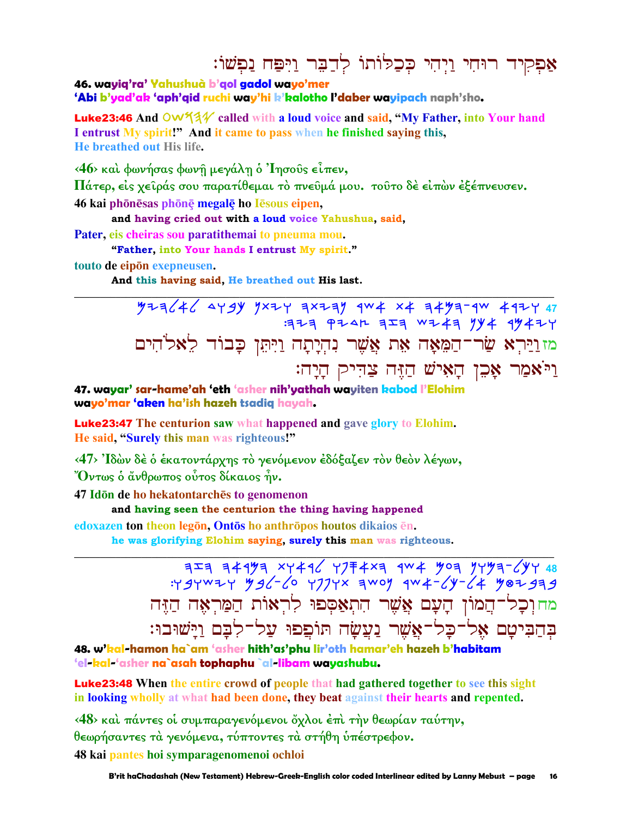אַפִקִיד רוּחִי וַיִּהִי כִּכְלּוֹתוֹ לְדַבֵּר וַיִּפַּח נַפְשׁוֹ:

46. wayiq'ra' Yahushuà b'gol gadol wayo'mer

'Abi b'yad'ak 'aph'qid ruchi way'hi k'kalotho l'daber wayipach naph'sho.

Luke23:46 And OW 14 of called with a loud voice and said, "My Father, into Your hand I entrust My spirit!" And it came to pass when he finished saying this, He breathed out His life.

<46> και φωνήσας φωνη μεγάλη ο Ίησους είπεν,

Πάτερ, είς χειράς σου παρατίθεμαι το πνευμά μου. τουτο δε είπων εξέπνευσεν.

46 kai phōnēsas phōnē megalē ho Iēsous eipen,

and having cried out with a loud voice Yahushua, said,

Pater, eis cheiras sou paratithemai to pneuma mou.

"Father, into Your hands I entrust My spirit."

touto de eipon exepneusen.

And this having said, He breathed out His last.

 $77-7646$   $4799$   $7\times17$   $7\times17$   $7\times17$   $1004$   $101$   $101$   $101$   $101$   $101$  $7777$   $7747$   $777$   $7747$   $794$   $7947$ מזוַיַּרְא שַׂר־הַמֵּאָה אֵת אֲשֶׁר נִהְיָתָה וַיִּתֵּן כָּבוֹד לֵאלֹהִים וַיֹּאמַר אָכֶן הַאִישׁ הַזֶּה צַדְיק הַיַה:

47. wayar' sar-hame'ah 'eth 'asher nih'yathah wayiten kabod l'Elohim wayo'mar 'aken ha'ish hazeh tsadiq hayah.

**Luke23:47** The centurion saw what happened and gave glory to Elohim. He said, "Surely this man was righteous!"

<47> Ίδών δέ ο έκατοντάρχης το γενόμενον έδόξαζεν τον θεον λέγων, "Όντως ὁ ἄνθρωπος οὗτος δίκαιος ἦν.

47 Idōn de ho hekatontarches to genomenon

and having seen the centurion the thing having happened

edoxazen ton theon legon, Ontos ho anthropos houtos dikaios en.

he was glorifying Elohim saying, surely this man was righteous.

 $757$  34193 xy416 y7 F 4x3 1 44 903 9493-694 48  $794^{14}$  4 92-40 7774x awoy 44-64 982939 מחוכל־המון הָעָם אֲשֶׁר הִתְאַסִפוּ לְרִאוֹת הַמַּרְאָה הַזֵּה בְהַבִּיטָם אָל־כַל־אֱשֶׁר נַעֲשַׂה תּוֹפֵפוּ עַל־לִבָּם וַיַּשׁוּבוּ:

48. w'kal-hamon ha`am 'asher hith'as'phy lir'oth hamar'eh hazeh b'habitam 'el-kal-'asher na`asah tophaphu `al-libam wayashubu.

**Luke23:48** When the entire crowd of people that had gathered together to see this sight in looking wholly at what had been done, they beat against their hearts and repented.

<48> και πάντες οι συμπαραγενόμενοι όχλοι έπι την θεωρίαν ταύτην, θεωρήσαντες τα γενόμενα, τύπτοντες τα στήθη υπέστρεφον. 48 kai pantes hoi symparagenomenoi ochloi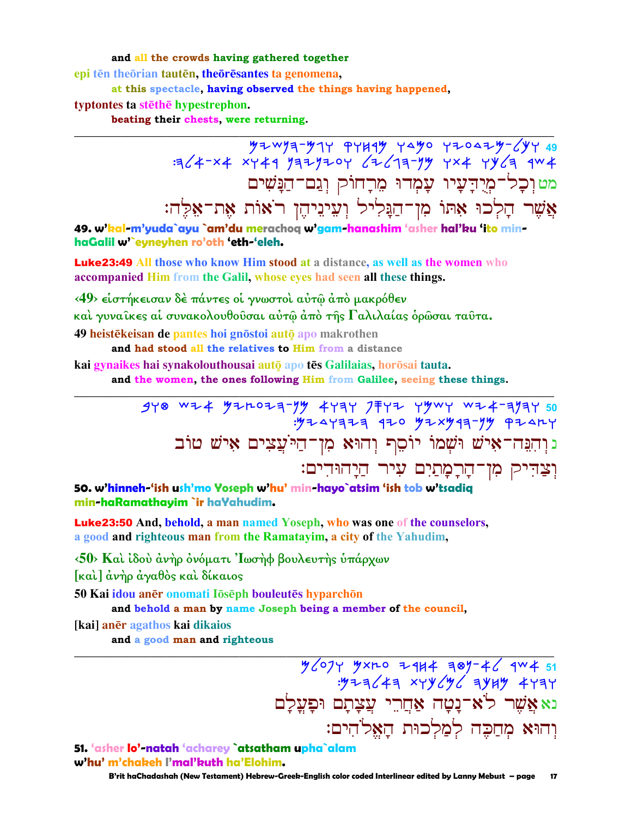and all the crowds having gathered together

epi tēn theorian tautēn, theoreesantes ta genomena,

at this spectacle, having observed the things having happened,

typtontes ta stethe hypestrephon.

beating their chests, were returning.

מט וִכָל־מְיָדִעָיו עַמְדוּ מִרָחוֹק וְגַם־הַנָּשִׁים אֲשֶׁר הָלְכוּ אִתּוֹ מִן־הַנְּלִיל וְעֵינֵיהֶן רֹאוֹת אֶת־אֵלֶה:

49. w'kal-m'yuda`ayu `am'du merachoq w'gam-hanashim 'asher hal'ku 'ito minhaGalil w'eyneyhen ro'oth 'eth-'eleh.

**Luke23:49** All those who know Him stood at a distance, as well as the women who accompanied Him from the Galil, whose eyes had seen all these things.

<49> είστήκεισαν δέ πάντες οί γνωστοί αύτω άπό μακρόθεν καί γυναίκες αί συνακολουθούσαι αύτῶ ἀπὸ τῆς Γαλιλαίας ὁρῶσαι ταῦτα. 49 heistēkeisan de pantes hoi gnōstoi autō apo makrothen

and had stood all the relatives to Him from a distance

kai gynaikes hai synakolouthousai autō apo tēs Galilaias, horōsai tauta.

and the women, the ones following Him from Galilee, seeing these things.

נוְהִנֵּה־אָישׁ וּשָׁמוֹ יוֹסֵף וְהוּא מִן־הַיֹּעֲצִים אָישׁ טוֹב וִצֲדִיק מִן־הַרֲמַתַיִם עִיר הַיַהוּדִים:

50. w'hinneh-'ish ush'mo Yoseph w'hu' min-hayo`atsim 'ish tob w'tsadiq min-haRamathayim`ir haYahudim.

Luke23:50 And, behold, a man named Yoseph, who was one of the counselors, a good and righteous man from the Ramatayim, a city of the Yahudim,

<50> Και ίδου άνηρ όνόματι 'Ιωσηφ βουλευτης υπάρχων

[καὶ] ἀνήρ ἀγαθός καὶ δίκαιος

50 Kai idou anēr onomati lōsēph bouleutēs hyparchōn

and behold a man by name Joseph being a member of the council,

[kai] anēr agathos kai dikaios

and a good man and righteous

 $\frac{1}{2}$   $\frac{1}{2}$   $\frac{1}{2}$   $\frac{1}{2}$   $\frac{1}{2}$   $\frac{1}{2}$   $\frac{1}{2}$   $\frac{1}{2}$   $\frac{1}{2}$   $\frac{1}{2}$   $\frac{1}{2}$   $\frac{1}{2}$   $\frac{1}{2}$   $\frac{1}{2}$   $\frac{1}{2}$   $\frac{1}{2}$   $\frac{1}{2}$   $\frac{1}{2}$   $\frac{1}{2}$   $\frac{1}{2}$   $\frac{1}{2}$   $\frac{1}{2}$  נאאָשֶׁר לֹא־נָטָה אַחֲרֵי עֲצַתַם וּפַעֲלַם וִהוּא מִחֲכֵה לְמַלְכוּת הָאֱלֹהִים:

51. 'asher lo'-natah 'acharey `atsatham upha`alam w'hu' m'chakeh l'mal'kuth ha'Elohim.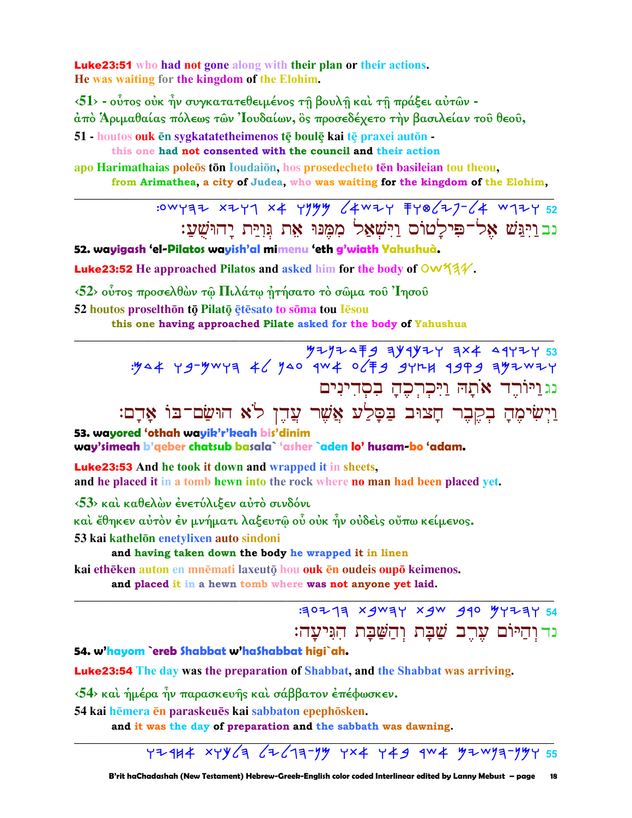**Luke 23:51** who had not gone along with their plan or their actions. He was waiting for the kingdom of the Elohim.

 $\langle 51 \rangle$  - ούτος ούκ ήν συγκατατεθειμένος τη βουλη και τη πράξει αύτων άπό Άριμαθαίας πόλεως των Ίουδαίων, ος προσεδέχετο την βασιλείαν του θεου,

51 - houtos ouk ēn sygkatatetheimenos tē boulē kai tē praxei autōn -

this one had not consented with the council and their action

apo Harimathaias poleos ton Ioudaion, hos prosedecheto ten basileian tou theou,

from Arimathea, a city of Judea, who was waiting for the kingdom of the Elohim,

:0WY3Z XZY1 X4 YYYY (4WZY FYQ(Z)-(4 W1ZY 52 נב ויגשׁ אל־פילטוס וישׁאל ממנוּ את גוית יהוּשׁע:

52. wayigash 'el-Pilatos wayish'al mimenu 'eth g'wiath Yahushuà.

Luke23:52 He approached Pilatos and asked him for the body of OW53V.

<52> ούτος προσελθών τω Πιλάτω ήτήσατο το σώμα του Ίησου

52 houtos proselthon to Pilato etesato to soma tou Iesou

this one having approached Pilate asked for the body of Yahushua

33 74742 744 744445 6744444<br>۳+۳ 44% 6494 1446 64% 1446 40% 444 744 744% 744 נגולור אתה ויכרכה בסדינים וַיְשִׂימֶהָ בְקֶבֶר חָצוּב בַּסָּלֵע אֲשֶׁר עֲדֶן לֹא הוּשַׂם־בּוֹ אַדָם:

53. wavored 'othah wavik'r'keah bis'dinim

way'simeah b'geber chatsub basala` 'asher `aden lo' husam-bo 'adam.

**Luke23:53** And he took it down and wrapped it in sheets, and he placed it in a tomb hewn into the rock where no man had been placed yet.

<53> και καθελών ένετύλιξεν αυτό σινδόνι

καὶ ἔθηκεν αὐτὸν ἐν μνήματι λαξευτῷ οὗ οὐκ ἦν οὐδεὶς οὔπω κείμενος.

53 kai kathelōn enetylixen auto sindoni

and having taken down the body he wrapped it in linen

kai ethēken auton en mnēmati laxeutō hou ouk en oudeis oupō keimenos.

and placed it in a hewn tomb where was not anyone yet laid.

30213 xgway xgw gqo yyzay 54 נד והיום ערב שבת והשבת הגיעה:

54. w'hayom `ereb Shabbat w'haShabbat higi`ah.

**Luke23:54** The day was the preparation of Shabbat, and the Shabbat was arriving.

<54> και ήμέρα ήν παρασκευής και σάββατον έπέφωσκεν.

54 kai hēmera ēn paraskeuēs kai sabbaton epephōsken.

and it was the day of preparation and the sabbath was dawning.

YZ414 XYY (3 (Z (13-14 YX4 Y 49 4W 4 42WY 3-144 55